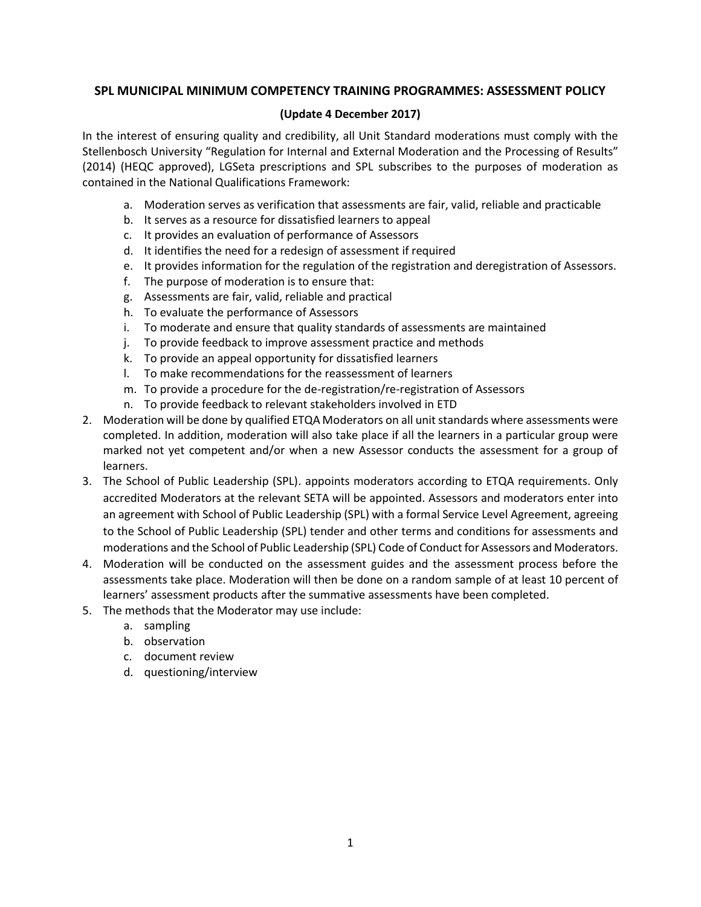## **SPL MUNICIPAL MINIMUM COMPETENCY TRAINING PROGRAMMES: ASSESSMENT POLICY**

## **(Update 4 December 2017)**

In the interest of ensuring quality and credibility, all Unit Standard moderations must comply with the Stellenbosch University "Regulation for Internal and External Moderation and the Processing of Results" (2014) (HEQC approved), LGSeta prescriptions and SPL subscribes to the purposes of moderation as contained in the National Qualifications Framework:

- a. Moderation serves as verification that assessments are fair, valid, reliable and practicable
- b. It serves as a resource for dissatisfied learners to appeal
- c. It provides an evaluation of performance of Assessors
- d. It identifies the need for a redesign of assessment if required
- e. It provides information for the regulation of the registration and deregistration of Assessors.
- f. The purpose of moderation is to ensure that:
- g. Assessments are fair, valid, reliable and practical
- h. To evaluate the performance of Assessors
- i. To moderate and ensure that quality standards of assessments are maintained
- j. To provide feedback to improve assessment practice and methods
- k. To provide an appeal opportunity for dissatisfied learners
- l. To make recommendations for the reassessment of learners
- m. To provide a procedure for the de-registration/re-registration of Assessors
- n. To provide feedback to relevant stakeholders involved in ETD
- 2. Moderation will be done by qualified ETQA Moderators on all unit standards where assessments were completed. In addition, moderation will also take place if all the learners in a particular group were marked not yet competent and/or when a new Assessor conducts the assessment for a group of learners.
- 3. The School of Public Leadership (SPL). appoints moderators according to ETQA requirements. Only accredited Moderators at the relevant SETA will be appointed. Assessors and moderators enter into an agreement with School of Public Leadership (SPL) with a formal Service Level Agreement, agreeing to the School of Public Leadership (SPL) tender and other terms and conditions for assessments and moderations and the School of Public Leadership (SPL) Code of Conduct for Assessors and Moderators.
- 4. Moderation will be conducted on the assessment guides and the assessment process before the assessments take place. Moderation will then be done on a random sample of at least 10 percent of learners' assessment products after the summative assessments have been completed.
- 5. The methods that the Moderator may use include:
	- a. sampling
	- b. observation
	- c. document review
	- d. questioning/interview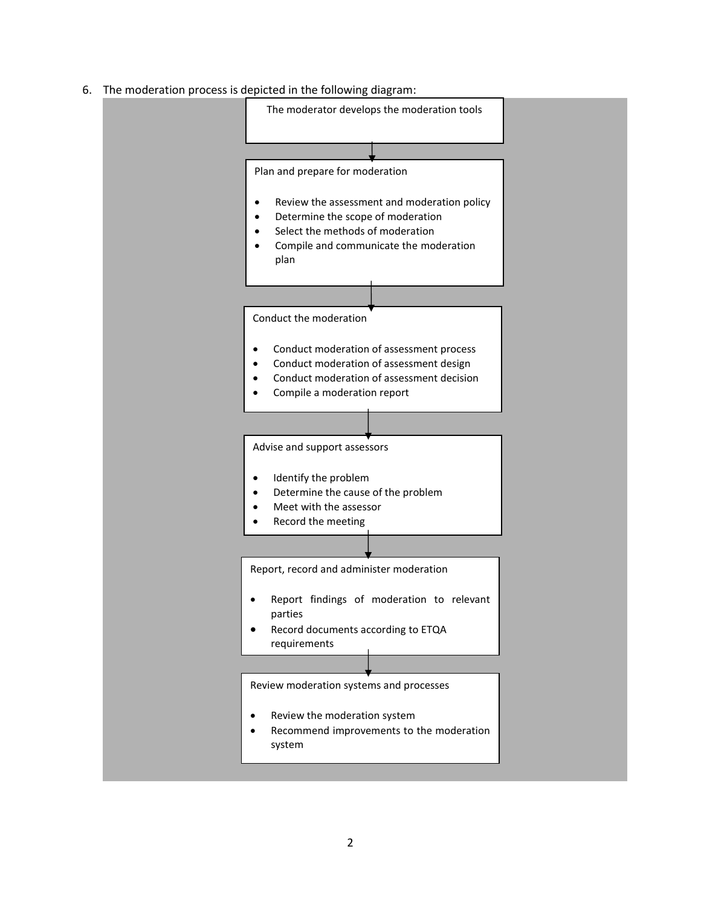6. The moderation process is depicted in the following diagram: